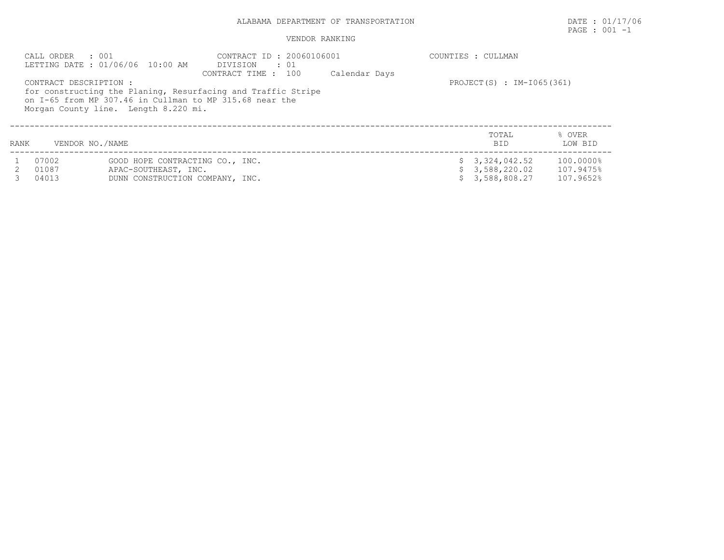## ALABAMA DEPARTMENT OF TRANSPORTATION DATE : 01/17/06

## PAGE : 001 -1

## VENDOR RANKING

|      | CALL ORDER : 001       | LETTING DATE: 01/06/06 10:00 AM      | CONTRACT ID: 20060106001<br>DIVISION<br>$\cdot$ 01<br>CONTRACT TIME : 100 | Calendar Days | COUNTIES : CULLMAN        |           |
|------|------------------------|--------------------------------------|---------------------------------------------------------------------------|---------------|---------------------------|-----------|
|      | CONTRACT DESCRIPTION : |                                      | for constructing the Planing, Resurfacing and Traffic Stripe              |               | PROJECT(S) : IM-I065(361) |           |
|      |                        | Morgan County line. Length 8.220 mi. | on I-65 from MP 307.46 in Cullman to MP 315.68 near the                   |               |                           |           |
|      |                        |                                      |                                                                           |               | TOTAL                     | % OVER    |
| RANK | VENDOR NO./NAME        |                                      |                                                                           |               | <b>BID</b>                | LOW BID   |
|      | 07002                  | GOOD HOPE CONTRACTING CO., INC.      |                                                                           |               | \$3,324,042.52            | 100.0000% |
|      | 01087                  | APAC-SOUTHEAST, INC.                 |                                                                           |               | 3,588,220.02              | 107.9475% |
|      | 04013                  | DUNN CONSTRUCTION COMPANY, INC.      |                                                                           |               | 3,588,808.27              | 107.9652% |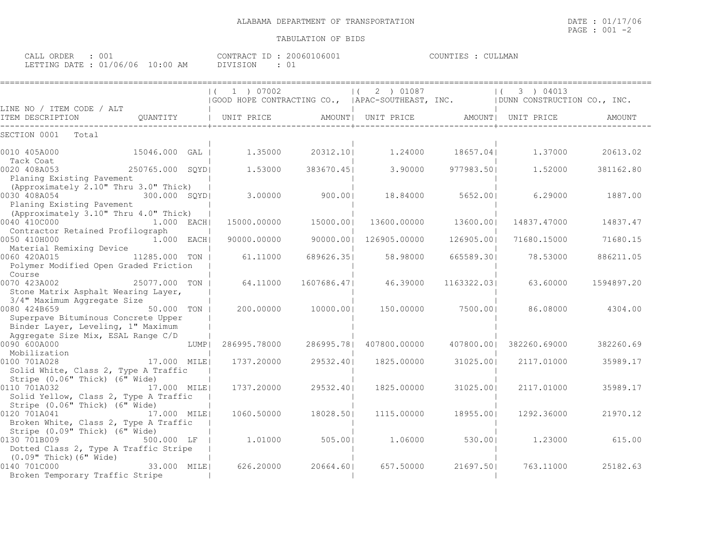## TABULATION OF BIDS

| ORDER<br>CALL ( | 00.                   |            | CONTRAC.<br>$\Box$ | 200607<br>' () 6 () () | <b>THAP</b><br>H.S | MAN.<br>$\cap$ tit. |
|-----------------|-----------------------|------------|--------------------|------------------------|--------------------|---------------------|
| LETTING DATE    | /06/06<br>$\bigcap$ 1 | 0.00<br>AM |                    | ◡                      |                    |                     |

|                                                                                                                                 |                 |      | 1 ) 07002<br>(GOOD HOPE CONTRACTING CO., (APAC-SOUTHEAST, INC. (DUNN CONSTRUCTION CO., INC. |             | 2 ) 01087<br>$\left  \right $ ( |             | 3 ) 04013<br>$\left  \right $ |            |
|---------------------------------------------------------------------------------------------------------------------------------|-----------------|------|---------------------------------------------------------------------------------------------|-------------|---------------------------------|-------------|-------------------------------|------------|
| LINE NO / ITEM CODE / ALT                                                                                                       |                 |      |                                                                                             |             |                                 |             |                               |            |
| ITEM DESCRIPTION                                                                                                                | QUANTITY        |      | UNIT PRICE                                                                                  |             | AMOUNT  UNIT PRICE              |             | AMOUNT  UNIT PRICE            | AMOUNT     |
| SECTION 0001<br>Total                                                                                                           |                 |      |                                                                                             |             |                                 |             |                               |            |
| 0010 405A000<br>Tack Coat                                                                                                       | 15046.000 GAL   |      | 1,35000                                                                                     | 20312.10    | 1,24000                         | 18657.041   | 1,37000                       | 20613.02   |
| 0020 408A053<br>Planing Existing Pavement<br>(Approximately 2.10" Thru 3.0" Thick)                                              | 250765.000 SQYD |      | 1,53000                                                                                     | 383670.451  | 3.90000                         | 977983.501  | 1,52000                       | 381162.80  |
| 0030 408A054<br>Planing Existing Pavement                                                                                       | 300.000 SQYD    |      | 3.00000                                                                                     | 900.00      | 18,84000                        | 5652.001    | 6.29000                       | 1887.00    |
| (Approximately 3.10" Thru 4.0" Thick)<br>0040 410C000<br>Contractor Retained Profilograph                                       | $1.000$ EACH    |      | 15000.00000                                                                                 | 15000.00    | 13600.00000                     | 13600.001   | 14837.47000                   | 14837.47   |
| 0050 410H000<br>Material Remixing Device                                                                                        | $1.000$ EACH    |      | 90000.00000                                                                                 | 90000.001   | 126905.00000                    | 126905.001  | 71680.15000                   | 71680.15   |
| 0060 420A015<br>Polymer Modified Open Graded Friction<br>Course                                                                 | 11285.000 TON   |      | 61.11000                                                                                    | 689626.351  | 58.98000                        | 665589.301  | 78.53000                      | 886211.05  |
| 0070 423A002<br>Stone Matrix Asphalt Wearing Layer,<br>3/4" Maximum Aggregate Size                                              | 25077.000 TON   |      | 64.11000                                                                                    | 1607686.471 | 46.39000                        | 1163322.031 | 63.60000                      | 1594897.20 |
| 0080 424B659<br>Superpave Bituminous Concrete Upper<br>Binder Layer, Leveling, 1" Maximum<br>Aggregate Size Mix, ESAL Range C/D | 50.000 TON I    |      | 200,00000                                                                                   | 10000.001   | 150.00000                       | 7500.001    | 86.08000                      | 4304.00    |
| 0090 600A000<br>Mobilization                                                                                                    |                 | LUMP | 286995.78000                                                                                | 286995.781  | 407800.00000                    | 407800.001  | 382260.69000                  | 382260.69  |
| 0100 701A028<br>Solid White, Class 2, Type A Traffic<br>Stripe (0.06" Thick) (6" Wide)                                          | 17.000 MILE     |      | 1737.20000                                                                                  | 29532.401   | 1825.00000                      | 31025.001   | 2117.01000                    | 35989.17   |
| 0110 701A032<br>Solid Yellow, Class 2, Type A Traffic<br>Stripe (0.06" Thick) (6" Wide)                                         | 17.000 MILE     |      | 1737.20000                                                                                  | 29532.401   | 1825.00000                      | 31025.001   | 2117.01000                    | 35989.17   |
| 0120 701A041<br>Broken White, Class 2, Type A Traffic<br>Stripe (0.09" Thick) (6" Wide)                                         | 17.000 MILEI    |      | 1060.50000                                                                                  | 18028.501   | 1115,00000                      | 18955.001   | 1292.36000                    | 21970.12   |
| 0130 701B009<br>Dotted Class 2, Type A Traffic Stripe<br>$(0.09"$ Thick) $(6"$ Wide)                                            | 500.000 LF      |      | 1,01000                                                                                     | 505.00      | 1,06000                         | 530.001     | 1,23000                       | 615.00     |
| 0140 701C000<br>Broken Temporary Traffic Stripe                                                                                 | 33.000 MILE     |      | 626.20000                                                                                   | 20664.601   | 657.50000                       | 21697.501   | 763.11000                     | 25182.63   |